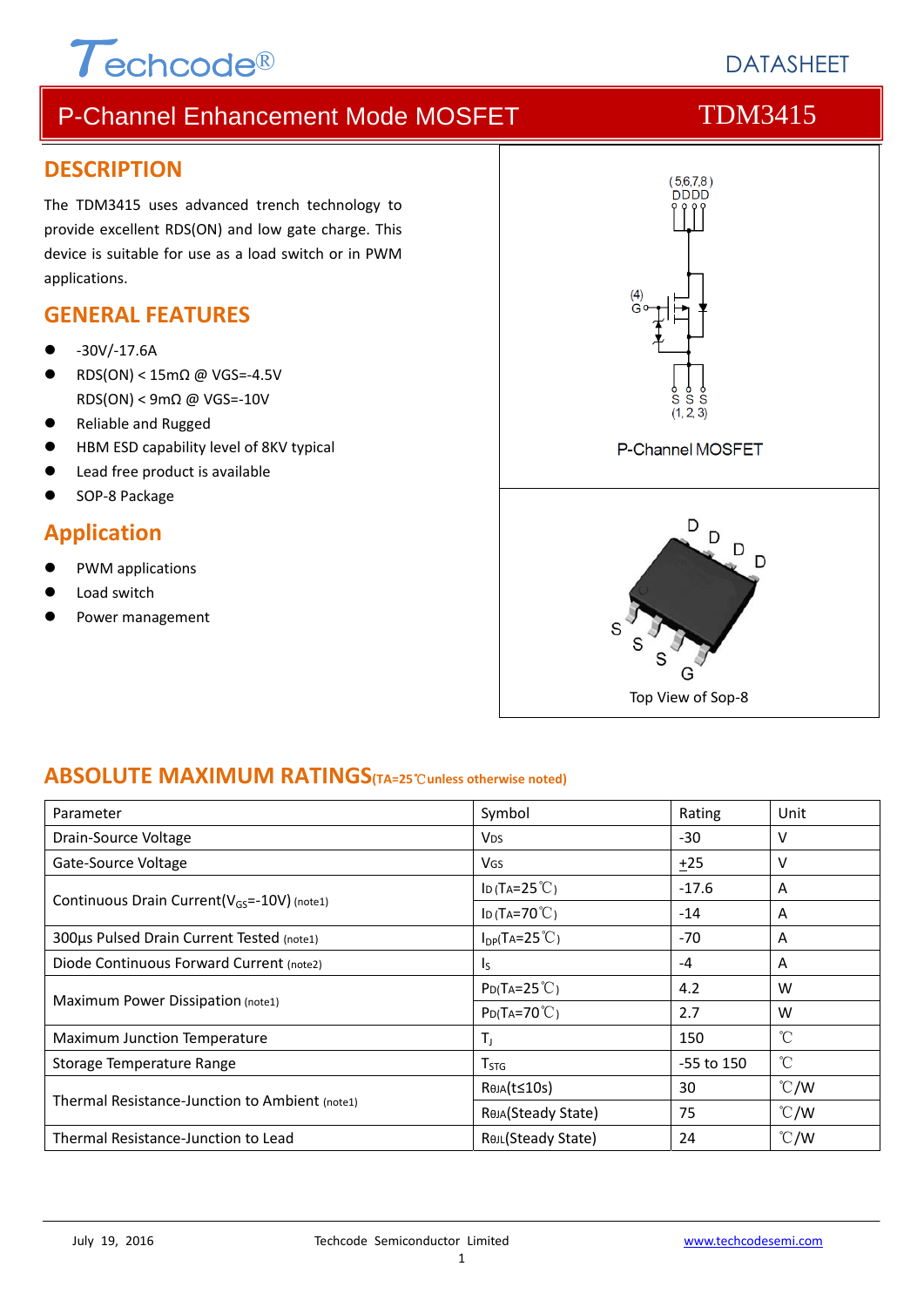

# **DATASHEFT**

# P-Channel Enhancement Mode MOSFET TDM3415

## **DESCRIPTION**

The TDM3415 uses advanced trench technology to provide excellent RDS(ON) and low gate charge. This device is suitable for use as a load switch or in PWM applications.

## **GENERAL FEATURES**

- ‐30V/‐17.6A
- RDS(ON) < 15mΩ @ VGS=‐4.5V RDS(ON) < 9mΩ @ VGS=‐10V
- Reliable and Rugged
- HBM ESD capability level of 8KV typical
- Lead free product is available
- SOP‐8 Package

## **Application**

- PWM applications
- Load switch
- Power management



## **ABSOLUTE MAXIMUM RATINGS(TA=25**℃**unless otherwise noted)**

| Parameter                                               | Symbol                   | Rating     | Unit          |
|---------------------------------------------------------|--------------------------|------------|---------------|
| Drain-Source Voltage                                    | <b>V<sub>DS</sub></b>    | -30        | v             |
| Gate-Source Voltage                                     | <b>V<sub>GS</sub></b>    | $+25$      | v             |
|                                                         | ID (TA= $25^{\circ}$ C)  | $-17.6$    | A             |
| Continuous Drain Current(V <sub>GS</sub> =-10V) (note1) | ID (TA=70 $°C$ )         | $-14$      | A             |
| 300us Pulsed Drain Current Tested (note1)               | $I_{DP}(TA=25^{\circ}C)$ | -70        | A             |
| Diode Continuous Forward Current (note2)                | I <sub>S</sub>           | -4         | A             |
|                                                         | $P_{D}(Ta=25^{\circ}C)$  | 4.2        | W             |
| Maximum Power Dissipation (note1)                       | $P_{D}(Ta=70^{\circ}C)$  | 2.7        | W             |
| <b>Maximum Junction Temperature</b>                     | $T_{\rm J}$              | 150        | $\hat{C}$     |
| Storage Temperature Range                               | $T_{STG}$                | -55 to 150 | °C            |
|                                                         | ReJA(t≤10s)              | 30         | $\degree$ C/W |
| Thermal Resistance-Junction to Ambient (note1)          | ROJA(Steady State)       | 75         | $\degree$ C/W |
| Thermal Resistance-Junction to Lead                     | ReJL(Steady State)       | 24         | $\degree$ C/W |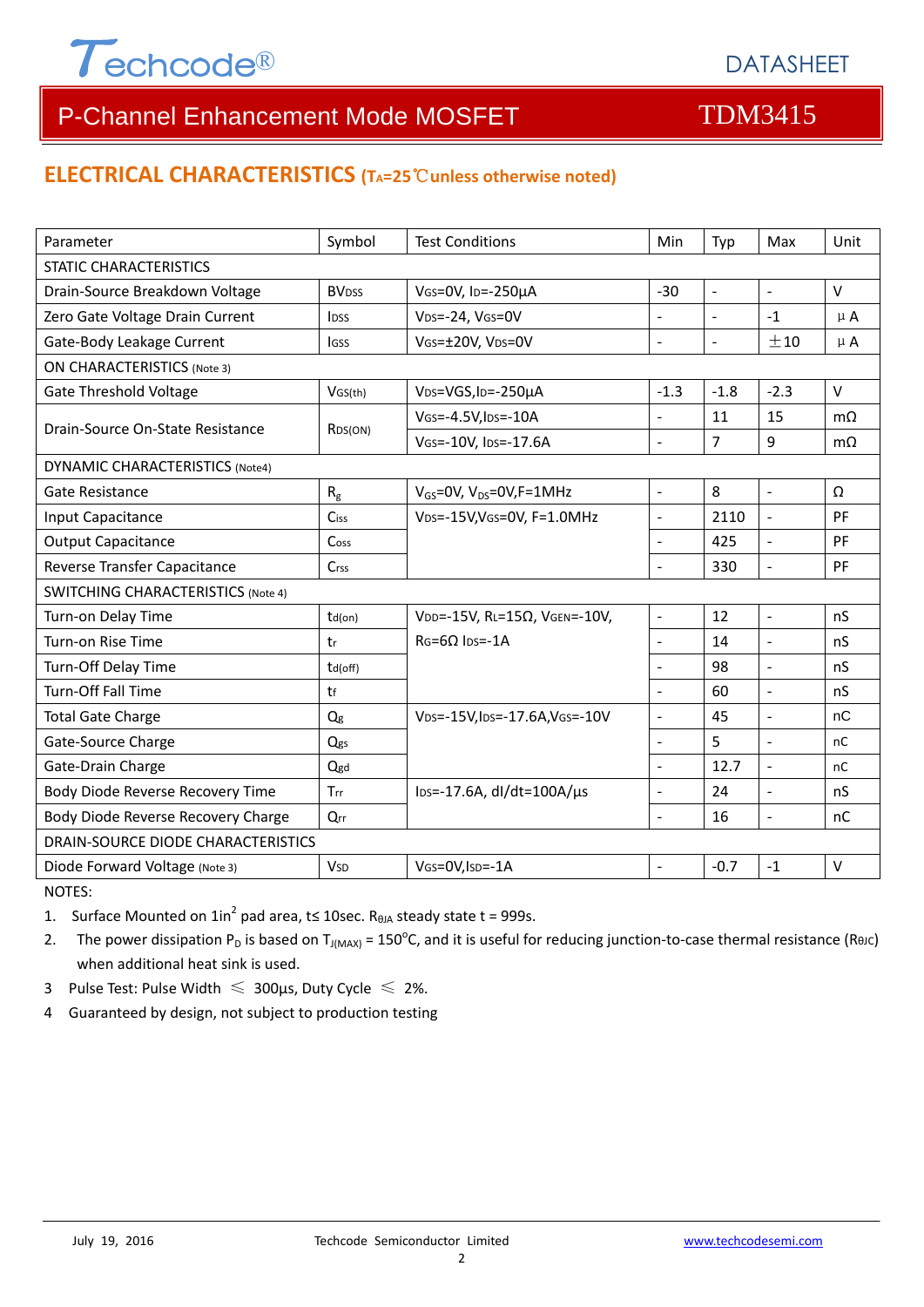

# P-Channel Enhancement Mode MOSFET TOM3415

## **ELECTRICAL CHARACTERISTICS (TA=25**℃**unless otherwise noted)**

| Parameter                                 | Symbol                   | <b>Test Conditions</b>                       | Min                      | Typ                 | Max                      | Unit         |  |  |
|-------------------------------------------|--------------------------|----------------------------------------------|--------------------------|---------------------|--------------------------|--------------|--|--|
| <b>STATIC CHARACTERISTICS</b>             |                          |                                              |                          |                     |                          |              |  |  |
| Drain-Source Breakdown Voltage            | <b>BV</b> <sub>DSS</sub> | VGS=0V, ID=-250µA<br>$-30$                   |                          | $\blacksquare$      | $\overline{a}$           | $\vee$       |  |  |
| Zero Gate Voltage Drain Current           | <b>IDSS</b>              | VDS=-24, VGS=0V                              | $\overline{a}$           | $\overline{a}$      | $-1$                     | $\mu$ A      |  |  |
| Gate-Body Leakage Current                 | <b>IGSS</b>              | VGS=±20V, VDS=0V                             |                          | $\bar{\phantom{a}}$ | ±10                      | $\mu$ A      |  |  |
| <b>ON CHARACTERISTICS (Note 3)</b>        |                          |                                              |                          |                     |                          |              |  |  |
| <b>Gate Threshold Voltage</b>             | VGS(th)                  | V <sub>DS</sub> =VGS, I <sub>D</sub> =-250µA | $-1.3$                   | $-1.8$              | $-2.3$                   | $\vee$       |  |  |
| Drain-Source On-State Resistance          |                          | VGS=-4.5V, IDS=-10A                          | $\sim$                   | 11                  | 15                       | $m\Omega$    |  |  |
|                                           | RDS(ON)                  | VGS=-10V, IDS=-17.6A                         | $\overline{a}$           | 7                   | 9                        | $m\Omega$    |  |  |
| <b>DYNAMIC CHARACTERISTICS (Note4)</b>    |                          |                                              |                          |                     |                          |              |  |  |
| Gate Resistance                           | $R_{\rm g}$              | $V_{GS}$ =0V, V <sub>DS</sub> =0V, F=1MHz    | $\blacksquare$           | 8                   | $\mathbb{L}$             | Ω            |  |  |
| Input Capacitance                         | Ciss                     | VDS=-15V, VGS=0V, F=1.0MHz                   | $\bar{\phantom{a}}$      | 2110                | $\frac{1}{2}$            | PF           |  |  |
| <b>Output Capacitance</b>                 | Coss                     |                                              | $\overline{a}$           | 425                 | $\blacksquare$           | PF           |  |  |
| Reverse Transfer Capacitance              | Crss                     |                                              | $\overline{a}$           | 330                 | $\overline{\phantom{a}}$ | PF           |  |  |
| <b>SWITCHING CHARACTERISTICS (Note 4)</b> |                          |                                              |                          |                     |                          |              |  |  |
| Turn-on Delay Time                        | $td($ on $)$             | VDD=-15V, RL=15Ω, VGEN=-10V,                 | $\overline{a}$           | 12                  | $\overline{a}$           | nS           |  |  |
| Turn-on Rise Time                         | tr                       | $RG = 6Q$ lps=-1A                            | $\blacksquare$           | 14                  | $\overline{a}$           | nS           |  |  |
| Turn-Off Delay Time                       | td(off)                  |                                              | $\overline{a}$           | 98                  | $\blacksquare$           | nS           |  |  |
| <b>Turn-Off Fall Time</b>                 | tf                       |                                              | L.                       | 60                  | $\overline{a}$           | nS           |  |  |
| <b>Total Gate Charge</b>                  | Q <sub>g</sub>           | VDS=-15V, IDS=-17.6A, VGS=-10V               | $\overline{\phantom{a}}$ | 45                  | $\overline{\phantom{a}}$ | nC           |  |  |
| Gate-Source Charge                        | Qgs                      |                                              | $\overline{a}$           | 5                   | $\overline{a}$           | nC           |  |  |
| Gate-Drain Charge                         | Qgd                      |                                              | $\overline{a}$           | 12.7                | $\overline{a}$           | nC           |  |  |
| Body Diode Reverse Recovery Time          | <b>Trr</b>               | $\text{los}$ =-17.6A, dl/dt=100A/ $\mu$ s    | $\overline{a}$           | 24                  | $\overline{a}$           | nS           |  |  |
| Body Diode Reverse Recovery Charge        | Qrr                      |                                              | $\sim$                   | 16                  | $\blacksquare$           | nC           |  |  |
| DRAIN-SOURCE DIODE CHARACTERISTICS        |                          |                                              |                          |                     |                          |              |  |  |
| Diode Forward Voltage (Note 3)            | <b>V<sub>SD</sub></b>    | VGS=0V, ISD=-1A                              |                          | $-0.7$              | $-1$                     | $\mathsf{V}$ |  |  |

NOTES:

1. Surface Mounted on  $1in^2$  pad area, t≤ 10sec. R<sub>0JA</sub> steady state t = 999s.

2. The power dissipation P<sub>D</sub> is based on T<sub>J(MAX)</sub> = 150<sup>o</sup>C, and it is useful for reducing junction-to-case thermal resistance (ReJC) when additional heat sink is used.

- 3 Pulse Test: Pulse Width  $\leq 300$ μs, Duty Cycle  $\leq 2\%$ .
- 4 Guaranteed by design, not subject to production testing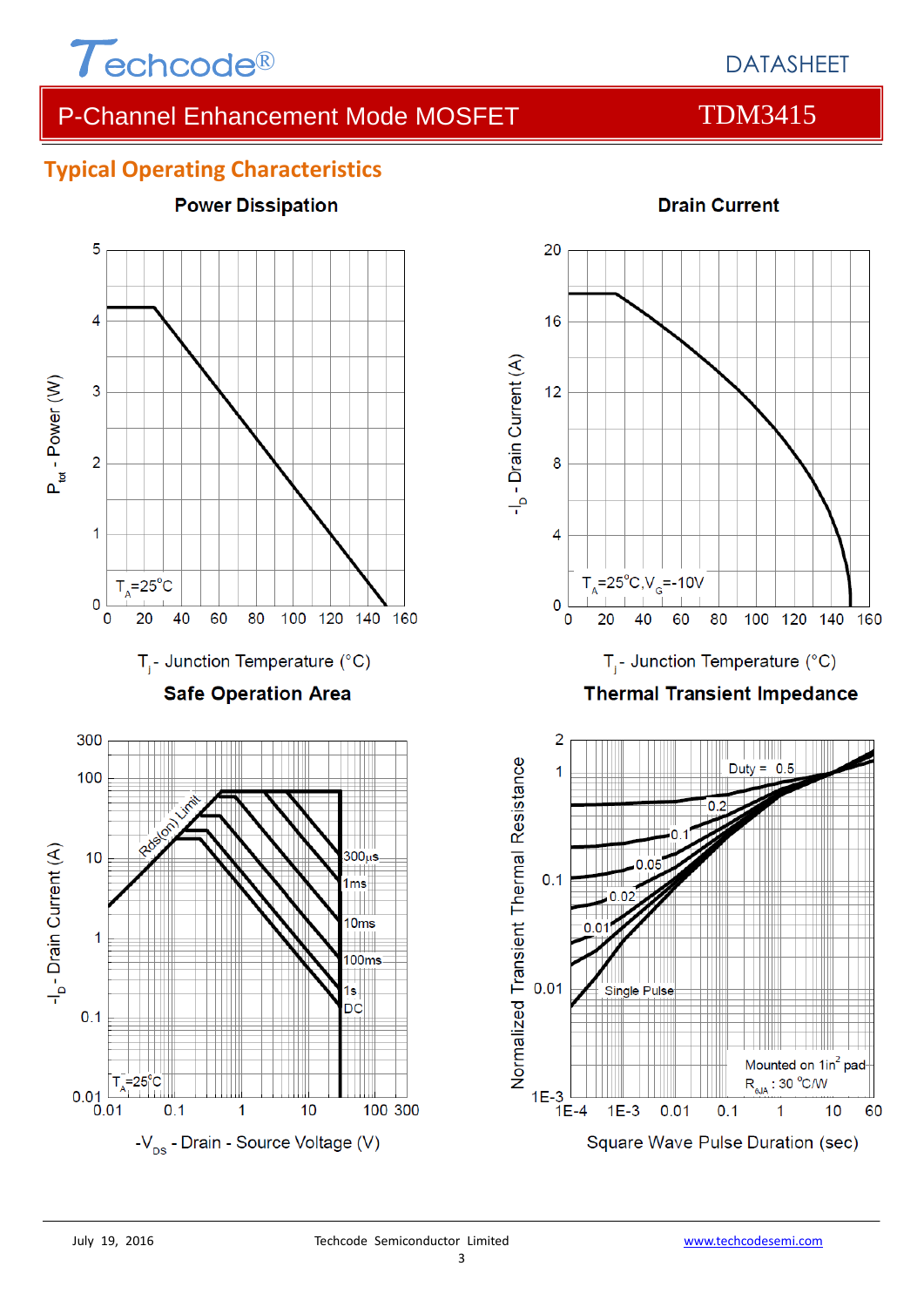

# P-Channel Enhancement Mode MOSFET TDM3415

**Drain Current** 

## **Typical Operating Characteristics**

**Power Dissipation** 





Normalized Transient Thermal Resistance  $0.01$ 

1E-3  $\Box$ <br>1E-4

Square Wave Pulse Duration (sec)

 $0.1$ 

**Single Pulse** 

 $1E-3$ 

 $0.01$ 

Mounted on 1in<sup>2</sup> pad  $R_{\text{eJA}}$ : 30 °C/W

 $10$ 

1

60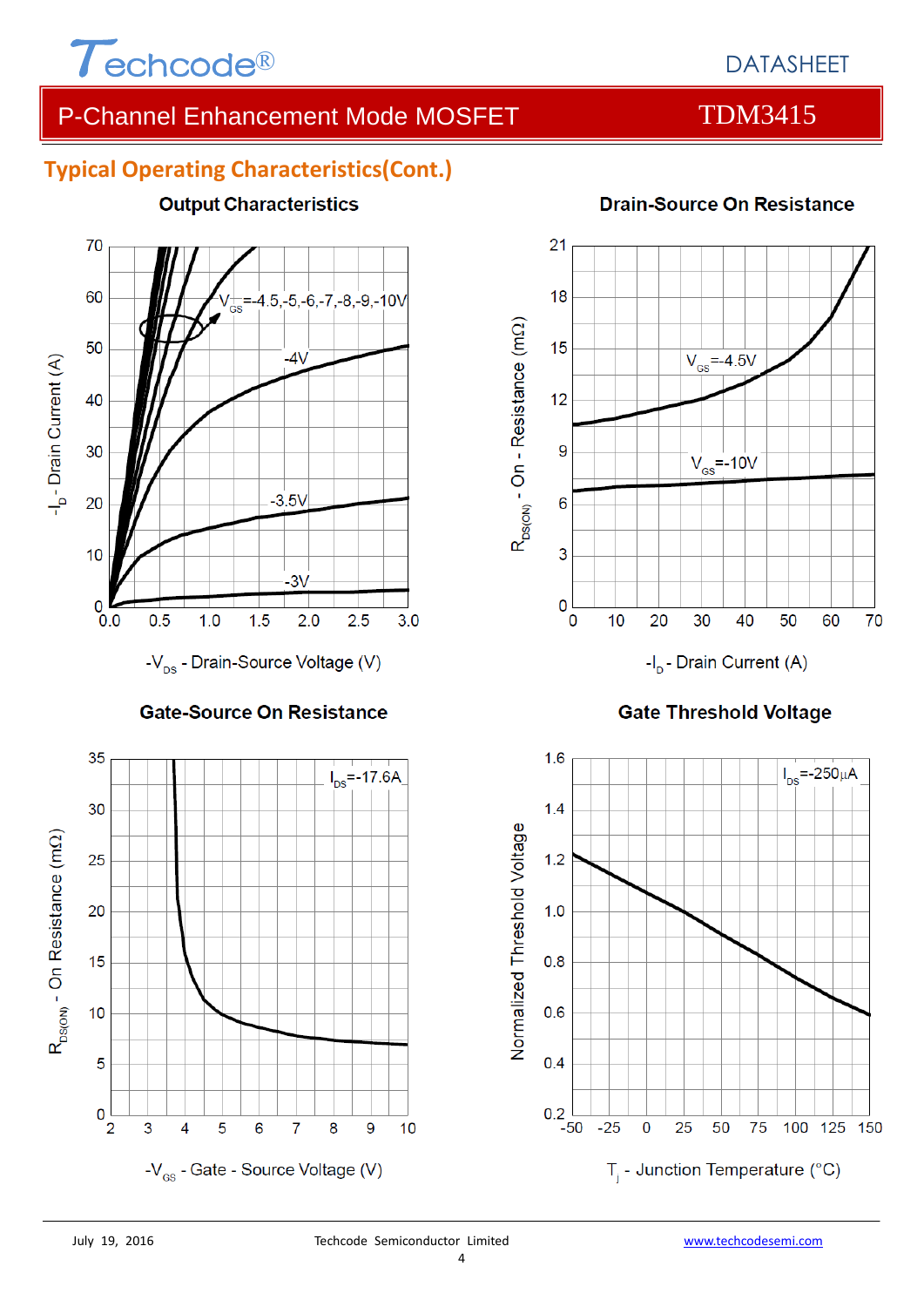

# DATASHEET

# P-Channel Enhancement Mode MOSFET TDM3415

## **Typical Operating Characteristics(Cont.)**

**Output Characteristics** 



-V<sub>ps</sub> - Drain-Source Voltage (V)

### **Gate-Source On Resistance**





### **Gate Threshold Voltage**



## **Drain-Source On Resistance**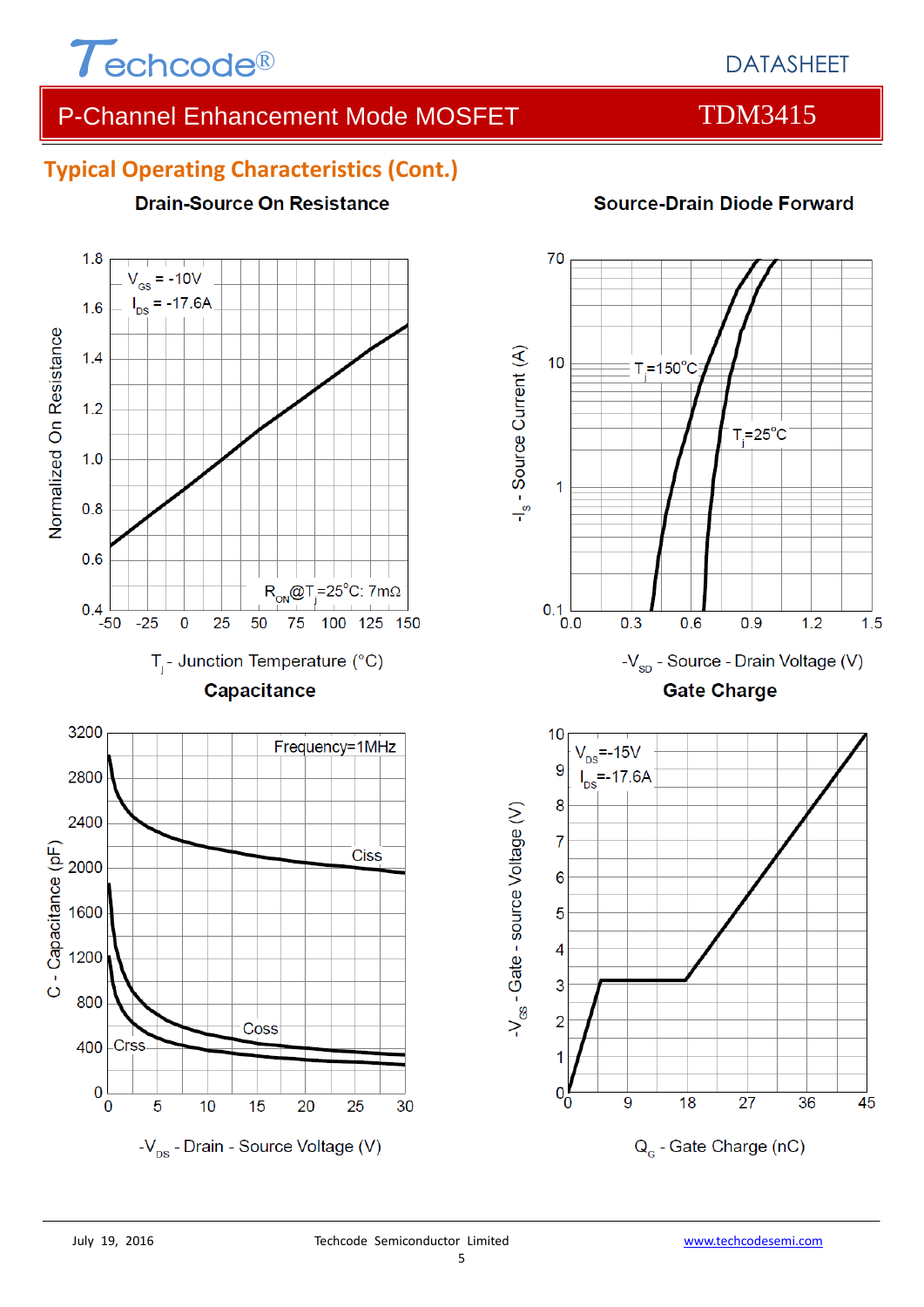

 $1.8$ 

# DATASHEET

# P-Channel Enhancement Mode MOSFET TDM3415

## **Typical Operating Characteristics (Cont.)**

**Drain-Source On Resistance** 

### $V_{\text{gs}}$  = -10V  $I_{DS} = -17.6A$  $1.6$ Normalized On Resistance  $1.4$  $1.2$  $1.0$  $0.8$  $0.6$  $R_{ON}$ @T<sub>j</sub>=25°C: 7mΩ  $0.4$  $-25$  $\mathbf 0$ 25 50 75 100 125 150 -50  $T_i$ - Junction Temperature (°C) Capacitance 3200 Frequency=1MHz 2800 2400 C - Capacitance (pF) **Ciss** 2000 1600 1200 800 Coss **Crss** 400  $\bf{0}$ 5 0  $10$ 15 20 25 30  $-V_{\text{ns}}$  - Drain - Source Voltage (V)

## **Source-Drain Diode Forward**

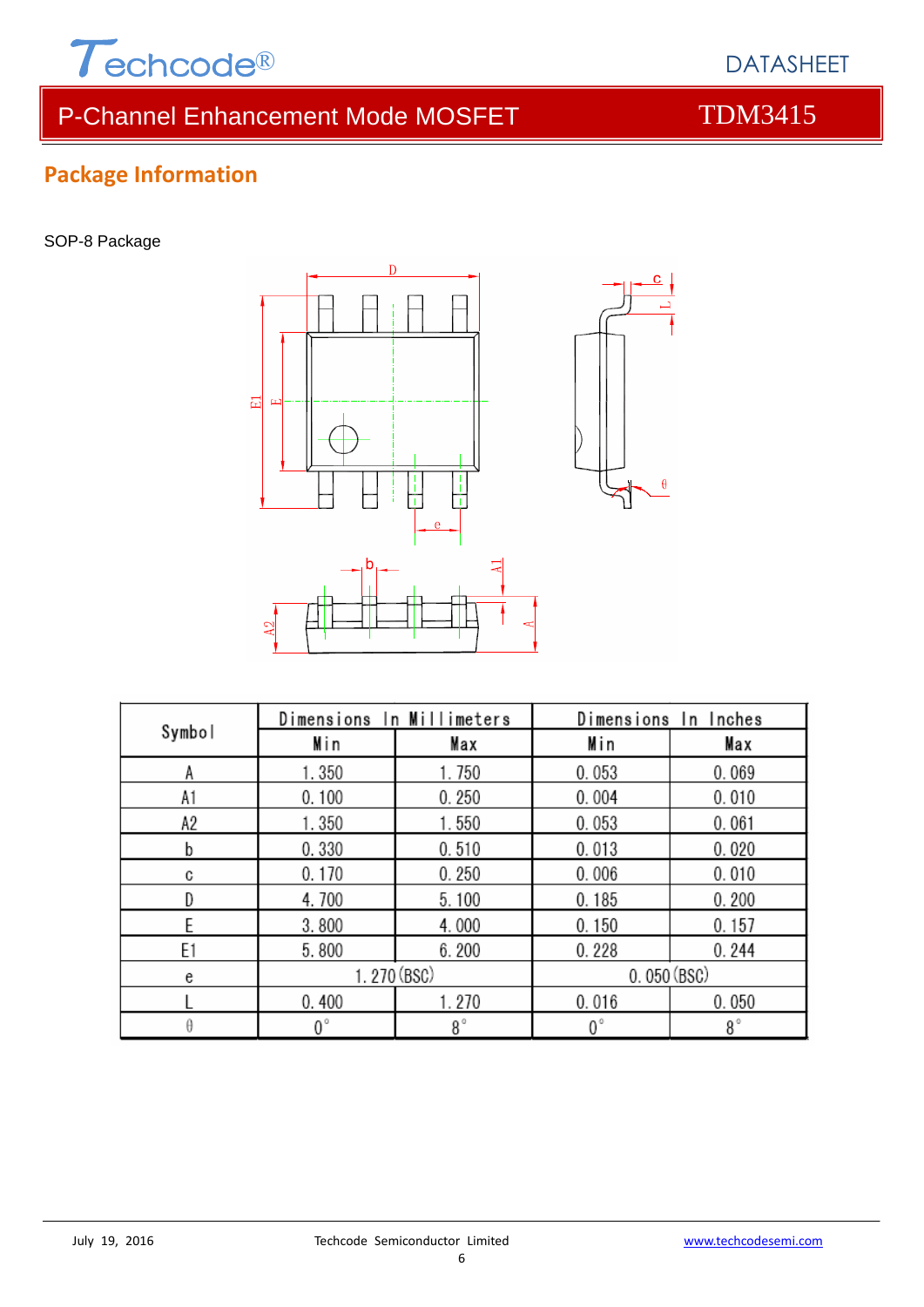

# P-Channel Enhancement Mode MOSFET TDM3415

# **Package Information**

SOP-8 Package



| Symbol | Dimensions In Millimeters |             | Dimensions In Inches |             |  |
|--------|---------------------------|-------------|----------------------|-------------|--|
|        | Min                       | Max         | Min                  | Max         |  |
|        | 1.350                     | 1.750       | 0.053                | 0.069       |  |
| A1     | 0.100                     | 0.250       | 0.004                | 0.010       |  |
| A2     | 1.350                     | 1.550       | 0.053                | 0.061       |  |
| b      | 0.330                     | 0.510       | 0.013                | 0.020       |  |
| C      | 0.170                     | 0.250       | 0.006                | 0.010       |  |
| D      | 4.700                     | 5.100       | 0.185                | 0.200       |  |
|        | 3.800                     | 4.000       | 0.150                | 0.157       |  |
| E1     | 5.800                     | 6.200       | 0.228                | 0.244       |  |
| e      | 1.270 (BSC)               |             | 0.050(BSC)           |             |  |
|        | 0.400                     | 1.270       | 0.016                | 0.050       |  |
| θ      | $0^{\circ}$               | $8^{\circ}$ | $0^{\circ}$          | $8^{\circ}$ |  |